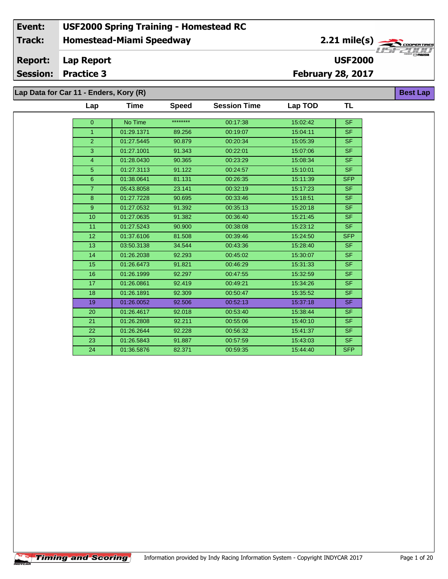## **Homestead-Miami Speedway Event: USF2000 Spring Training - Homestead RC Track:**

2.21 mile(s)

**USF2000**

**Best Lap**

#### **Lap Report Report:**

**Session: Practice 3**

**February 28, 2017**

**Lap Data for Car 11 - Enders, Kory (R)**

| Lap              | Time       | <b>Speed</b> | <b>Session Time</b> | Lap TOD  | TL         |
|------------------|------------|--------------|---------------------|----------|------------|
| $\overline{0}$   | No Time    | ********     | 00:17:38            | 15:02:42 | <b>SF</b>  |
| $\overline{1}$   | 01:29.1371 | 89.256       | 00:19:07            | 15:04:11 | <b>SF</b>  |
| $\overline{2}$   | 01:27.5445 | 90.879       | 00:20:34            | 15:05:39 | <b>SF</b>  |
| 3                |            |              |                     |          |            |
|                  | 01:27.1001 | 91.343       | 00:22:01            | 15:07:06 | <b>SF</b>  |
| $\overline{4}$   | 01:28.0430 | 90.365       | 00:23:29            | 15:08:34 | <b>SF</b>  |
| $\overline{5}$   | 01:27.3113 | 91.122       | 00:24:57            | 15:10:01 | <b>SF</b>  |
| $\boldsymbol{6}$ | 01:38.0641 | 81.131       | 00:26:35            | 15:11:39 | <b>SFP</b> |
| $\overline{7}$   | 05:43.8058 | 23.141       | 00:32:19            | 15:17:23 | <b>SF</b>  |
| 8                | 01:27.7228 | 90.695       | 00:33:46            | 15:18:51 | <b>SF</b>  |
| 9                | 01:27.0532 | 91.392       | 00:35:13            | 15:20:18 | <b>SF</b>  |
| 10               | 01:27.0635 | 91.382       | 00:36:40            | 15:21:45 | <b>SF</b>  |
| 11               | 01:27.5243 | 90.900       | 00:38:08            | 15:23:12 | <b>SF</b>  |
| 12               | 01:37.6106 | 81.508       | 00:39:46            | 15:24:50 | <b>SFP</b> |
| 13               | 03:50.3138 | 34.544       | 00:43:36            | 15:28:40 | <b>SF</b>  |
| 14               | 01:26.2038 | 92.293       | 00:45:02            | 15:30:07 | <b>SF</b>  |
| 15               | 01:26.6473 | 91.821       | 00:46:29            | 15:31:33 | <b>SF</b>  |
| 16               | 01:26.1999 | 92.297       | 00:47:55            | 15:32:59 | <b>SF</b>  |
| 17               | 01:26.0861 | 92.419       | 00:49:21            | 15:34:26 | <b>SF</b>  |
| 18               | 01:26.1891 | 92.309       | 00:50:47            | 15:35:52 | <b>SF</b>  |
| 19               | 01:26.0052 | 92.506       | 00:52:13            | 15:37:18 | <b>SF</b>  |
| 20               | 01:26.4617 | 92.018       | 00:53:40            | 15:38:44 | <b>SF</b>  |
| 21               | 01:26.2808 | 92.211       | 00:55:06            | 15:40:10 | <b>SF</b>  |
| 22               | 01:26.2644 | 92.228       | 00:56:32            | 15:41:37 | <b>SF</b>  |
| 23               | 01:26.5843 | 91.887       | 00:57:59            | 15:43:03 | <b>SF</b>  |
| 24               | 01:36.5876 | 82.371       | 00:59:35            | 15:44:40 | <b>SFP</b> |

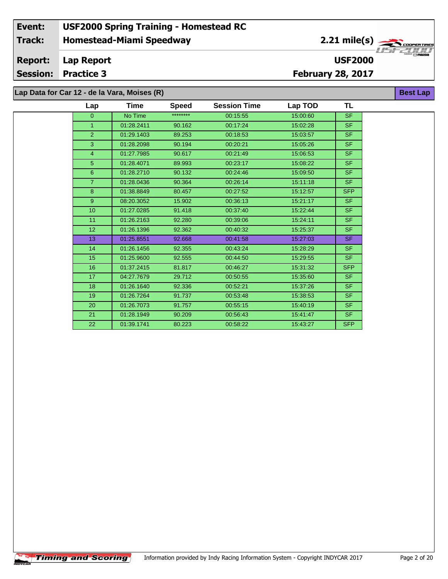### **Homestead-Miami Speedway Lap Report February 28, 2017 Event: USF2000 Spring Training - Homestead RC Track: Report: Session: Practice 3 USF2000** 2.21 mile(s) **Best Lap Lap Data for Car 12 - de la Vara, Moises (R)**

13 01:25.8551 92.668 00:41:58 15:27:03 SF 14 01:26.1456 92.355 00:43:24 15:28:29 SF 15 01:25.9600 92.555 00:44:50 15:29:55 SF 16 01:37.2415 81.817 00:46:27 15:31:32 SFP 17 04:27.7679 29.712 00:50:55 15:35:60 SF 18 01:26.1640 92.336 00:52:21 15:37:26 SF 19 01:26.7264 91.737 00:53:48 15:38:53 SF 20 01:26.7073 91.757 00:55:15 15:40:19 SF 21 01:28.1949 90.209 00:56:43 15:41:47 SF 22 01:39.1741 80.223 00:58:22 15:43:27 SFP

| Lap             | Time       | <b>Speed</b> | <b>Session Time</b> | Lap TOD  | TL         |
|-----------------|------------|--------------|---------------------|----------|------------|
| $\mathbf{0}$    | No Time    | ********     | 00:15:55            | 15:00:60 | SF.        |
|                 | 01:28.2411 | 90.162       | 00:17:24            | 15:02:28 | <b>SF</b>  |
| 2               | 01:29.1403 | 89.253       | 00:18:53            | 15:03:57 | SF.        |
| 3               | 01:28.2098 | 90.194       | 00:20:21            | 15:05:26 | SF.        |
| $\overline{4}$  | 01:27.7985 | 90.617       | 00:21:49            | 15:06:53 | <b>SF</b>  |
| 5               | 01:28.4071 | 89.993       | 00:23:17            | 15:08:22 | SF.        |
| 6               | 01:28.2710 | 90.132       | 00:24:46            | 15:09:50 | SF.        |
| $\overline{7}$  | 01:28.0436 | 90.364       | 00:26:14            | 15:11:18 | <b>SF</b>  |
| 8               | 01:38.8849 | 80.457       | 00:27:52            | 15:12:57 | <b>SFP</b> |
| 9               | 08:20.3052 | 15.902       | 00:36:13            | 15:21:17 | SF.        |
| 10 <sup>°</sup> | 01:27.0285 | 91.418       | 00:37:40            | 15:22:44 | <b>SF</b>  |
| 11              | 01:26.2163 | 92.280       | 00:39:06            | 15:24:11 | SF.        |
| 12 <sup>°</sup> | 01:26.1396 | 92.362       | 00:40:32            | 15:25:37 | <b>SF</b>  |

œ.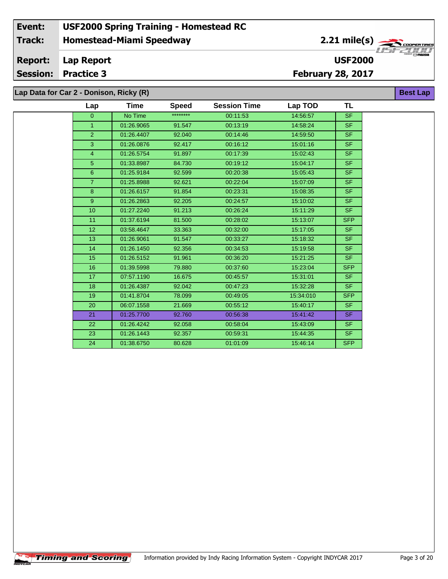### **Homestead-Miami Speedway Lap Report February 28, 2017 Event: USF2000 Spring Training - Homestead RC Track: Report: Session: Practice 3 USF2000** 2.21 mile(s) **Best Lap Lap Data for Car 2 - Donison, Ricky (R)**

13 01:26.9061 91.547 00:33:27 15:18:32 SF 14 01:26.1450 92.356 00:34:53 15:19:58 SF 01:26.5152 91.961 00:36:20 15:21:25 SF 01:39.5998 79.880 00:37:60 15:23:04 SFP 17 07:57.1190 16.675 00:45:57 15:31:01 SF 01:26.4387 92.042 00:47:23 15:32:28 SF 01:41.8704 78.099 00:49:05 15:34:010 SFP 06:07.1558 21.669 00:55:12 15:40:17 SF 21 01:25.7700 92.760 00:56:38 15:41:42 SF 01:26.4242 92.058 00:58:04 15:43:09 SF 01:26.1443 92.357 00:59:31 15:44:35 SF 01:38.6750 80.628 01:01:09 15:46:14 SFP

| Lap             | Time       | <b>Speed</b> | <b>Session Time</b> | Lap TOD  | TL         |
|-----------------|------------|--------------|---------------------|----------|------------|
| $\overline{0}$  | No Time    | ********     | 00:11:53            | 14:56:57 | <b>SF</b>  |
|                 | 01:26.9065 | 91.547       | 00:13:19            | 14:58:24 | <b>SF</b>  |
| $\overline{2}$  | 01:26.4407 | 92.040       | 00:14:46            | 14:59:50 | <b>SF</b>  |
| 3               | 01:26.0876 | 92.417       | 00:16:12            | 15:01:16 | <b>SF</b>  |
| 4               | 01:26.5754 | 91.897       | 00:17:39            | 15:02:43 | <b>SF</b>  |
| 5 <sup>5</sup>  | 01:33.8987 | 84.730       | 00:19:12            | 15:04:17 | SF.        |
| 6               | 01:25.9184 | 92.599       | 00:20:38            | 15:05:43 | <b>SF</b>  |
| $\overline{7}$  | 01:25.8988 | 92.621       | 00:22:04            | 15:07:09 | <b>SF</b>  |
| 8               | 01:26.6157 | 91.854       | 00:23:31            | 15:08:35 | <b>SF</b>  |
| 9               | 01:26.2863 | 92.205       | 00:24:57            | 15:10:02 | <b>SF</b>  |
| 10 <sup>°</sup> | 01:27.2240 | 91.213       | 00:26:24            | 15:11:29 | SF.        |
| 11              | 01:37.6194 | 81.500       | 00:28:02            | 15:13:07 | <b>SFP</b> |
| 12 <sup>2</sup> | 03:58.4647 | 33.363       | 00:32:00            | 15:17:05 | <b>SF</b>  |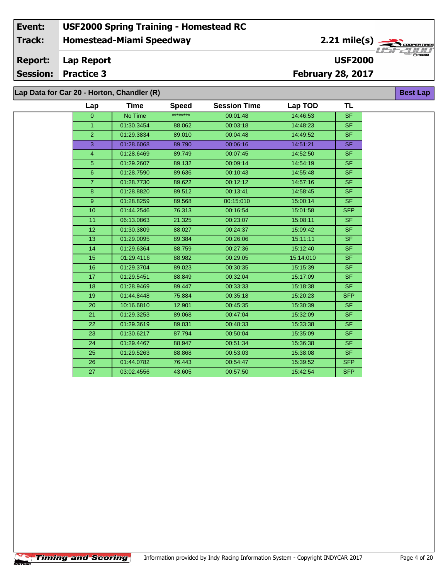#### **Event: USF2000 Spring Training - Homestead RC 2.21 mile(s) Track: Homestead-Miami Speedway** COOPERTIRE **Report: Lap Report USF2000 Session: Practice 3 February 28, 2017 Best Lap**

**Lap Data for Car 20 - Horton, Chandler (R)**

**Timing and Scoring** 

| Lap            | Time       | <b>Speed</b> | <b>Session Time</b> | Lap TOD   | TL         |
|----------------|------------|--------------|---------------------|-----------|------------|
| $\overline{0}$ | No Time    | ********     | 00:01:48            | 14:46:53  | <b>SF</b>  |
| $\mathbf{1}$   | 01:30.3454 | 88.062       | 00:03:18            | 14:48:23  | <b>SF</b>  |
| $\overline{2}$ | 01:29.3834 | 89.010       | 00:04:48            | 14:49:52  | <b>SF</b>  |
| 3              | 01:28.6068 | 89.790       | 00:06:16            | 14:51:21  | <b>SF</b>  |
| $\overline{4}$ | 01:28.6469 | 89.749       | 00:07:45            | 14:52:50  | <b>SF</b>  |
| 5              | 01:29.2607 | 89.132       | 00:09:14            | 14:54:19  | <b>SF</b>  |
| $6\phantom{1}$ | 01:28.7590 | 89.636       | 00:10:43            | 14:55:48  | <b>SF</b>  |
| $\overline{7}$ | 01:28.7730 | 89.622       | 00:12:12            | 14:57:16  | <b>SF</b>  |
| 8              | 01:28.8820 | 89.512       | 00:13:41            | 14:58:45  | <b>SF</b>  |
| 9 <sup>°</sup> | 01:28.8259 | 89.568       | 00:15:010           | 15:00:14  | <b>SF</b>  |
| 10             | 01:44.2546 | 76.313       | 00:16:54            | 15:01:58  | <b>SFP</b> |
| 11             | 06:13.0863 | 21.325       | 00:23:07            | 15:08:11  | SF.        |
| 12             | 01:30.3809 | 88.027       | 00:24:37            | 15:09:42  | <b>SF</b>  |
| 13             | 01:29.0095 | 89.384       | 00:26:06            | 15:11:11  | SF.        |
| 14             | 01:29.6364 | 88.759       | 00:27:36            | 15:12:40  | <b>SF</b>  |
| 15             | 01:29.4116 | 88.982       | 00:29:05            | 15:14:010 | <b>SF</b>  |
| 16             | 01:29.3704 | 89.023       | 00:30:35            | 15:15:39  | <b>SF</b>  |
| 17             | 01:29.5451 | 88.849       | 00:32:04            | 15:17:09  | <b>SF</b>  |
| 18             | 01:28.9469 | 89.447       | 00:33:33            | 15:18:38  | <b>SF</b>  |
| 19             | 01:44.8448 | 75.884       | 00:35:18            | 15:20:23  | <b>SFP</b> |
| 20             | 10:16.6810 | 12.901       | 00:45:35            | 15:30:39  | <b>SF</b>  |
| 21             | 01:29.3253 | 89.068       | 00:47:04            | 15:32:09  | SF.        |
| 22             | 01:29.3619 | 89.031       | 00:48:33            | 15:33:38  | <b>SF</b>  |
| 23             | 01:30.6217 | 87.794       | 00:50:04            | 15:35:09  | <b>SF</b>  |
| 24             | 01:29.4467 | 88.947       | 00:51:34            | 15:36:38  | <b>SF</b>  |
| 25             | 01:29.5263 | 88.868       | 00:53:03            | 15:38:08  | SF.        |
| 26             | 01:44.0782 | 76.443       | 00:54:47            | 15:39:52  | <b>SFP</b> |
| 27             | 03:02.4556 | 43.605       | 00:57:50            | 15:42:54  | <b>SFP</b> |
|                |            |              |                     |           |            |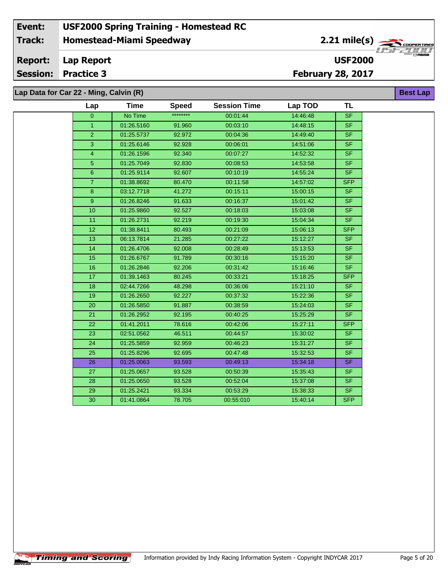| ata for Car 22 - Ming, Calvin (R) |             |              |                     |          |                          |
|-----------------------------------|-------------|--------------|---------------------|----------|--------------------------|
| Lap                               | <b>Time</b> | <b>Speed</b> | <b>Session Time</b> | Lap TOD  | <b>TL</b>                |
| $\mathbf{0}$                      | No Time     | ********     | 00:01:44            | 14:46:48 | <b>SF</b>                |
| $\overline{1}$                    | 01:26.5160  | 91.960       | 00:03:10            | 14:48:15 | <b>SF</b>                |
| $\overline{2}$                    | 01:25.5737  | 92.972       | 00:04:36            | 14:49:40 | $\overline{\mathsf{SF}}$ |
| 3                                 | 01:25.6146  | 92.928       | 00:06:01            | 14:51:06 | <b>SF</b>                |
| $\overline{4}$                    | 01:26.1596  | 92.340       | 00:07:27            | 14:52:32 | $\overline{\mathsf{SF}}$ |
| $\overline{5}$                    | 01:25.7049  | 92.830       | 00:08:53            | 14:53:58 | <b>SF</b>                |
| $\boldsymbol{6}$                  | 01:25.9114  | 92.607       | 00:10:19            | 14:55:24 | $\overline{\mathsf{SF}}$ |
| $\overline{7}$                    | 01:38.8692  | 80.470       | 00:11:58            | 14:57:02 | <b>SFP</b>               |
| 8                                 | 03:12.7718  | 41.272       | 00:15:11            | 15:00:15 | <b>SF</b>                |
| 9                                 | 01:26.8246  | 91.633       | 00:16:37            | 15:01:42 | <b>SF</b>                |
| 10                                | 01:25.9860  | 92.527       | 00:18:03            | 15:03:08 | <b>SF</b>                |
| 11                                | 01:26.2731  | 92.219       | 00:19:30            | 15:04:34 | $\overline{\mathsf{SF}}$ |
| 12                                | 01:38.8411  | 80.493       | 00:21:09            | 15:06:13 | <b>SFP</b>               |
| 13                                | 06:13.7814  | 21.285       | 00:27:22            | 15:12:27 | $\overline{\mathsf{SF}}$ |
| 14                                | 01:26.4706  | 92.008       | 00:28:49            | 15:13:53 | SF                       |
| 15                                | 01:26.6767  | 91.789       | 00:30:16            | 15:15:20 | $\overline{\mathsf{SF}}$ |
| 16                                | 01:26.2846  | 92.206       | 00:31:42            | 15:16:46 | <b>SF</b>                |
| 17                                | 01:39.1463  | 80.245       | 00:33:21            | 15:18:25 | <b>SFP</b>               |
| 18                                | 02:44.7266  | 48.298       | 00:36:06            | 15:21:10 | <b>SF</b>                |
| 19                                | 01:26.2650  | 92.227       | 00:37:32            | 15:22:36 | <b>SF</b>                |
| 20                                | 01:26.5850  | 91.887       | 00:38:59            | 15:24:03 | $\overline{\mathsf{SF}}$ |
| 21                                | 01:26.2952  | 92.195       | 00:40:25            | 15:25:29 | <b>SF</b>                |
| 22                                | 01:41.2011  | 78.616       | 00:42:06            | 15:27:11 | <b>SFP</b>               |
| 23                                | 02:51.0562  | 46.511       | 00:44:57            | 15:30:02 | <b>SF</b>                |
| 24                                | 01:25.5859  | 92.959       | 00:46:23            | 15:31:27 | <b>SF</b>                |
| 25                                | 01:25.8296  | 92.695       | 00:47:48            | 15:32:53 | $\overline{\mathsf{SF}}$ |
| 26                                | 01:25.0063  | 93.593       | 00:49:13            | 15:34:18 | <b>SF</b>                |
| 27                                | 01:25.0657  | 93.528       | 00:50:39            | 15:35:43 | <b>SF</b>                |
| 28                                | 01:25.0650  | 93.528       | 00:52:04            | 15:37:08 | <b>SF</b>                |
| 29                                | 01:25.2421  | 93.334       | 00:53:29            | 15:38:33 | <b>SF</b>                |
| 30                                | 01:41.0864  | 78.705       | 00:55:010           | 15:40:14 | <b>SFP</b>               |
|                                   |             |              |                     |          |                          |

**Timing and Scoring** 

 $\overline{\phantom{a}}$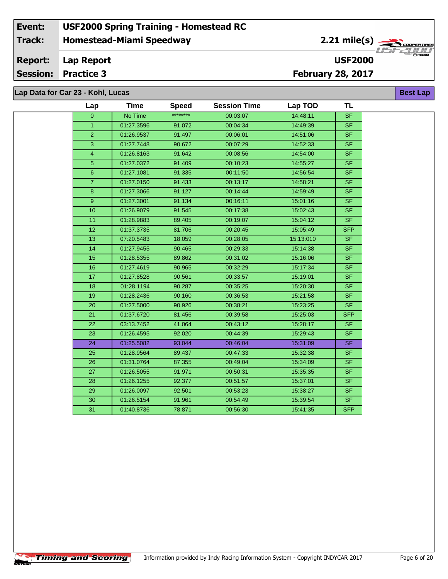| Lap Data for Car 23 - Kohl, Lucas |  |  |  |  |  |
|-----------------------------------|--|--|--|--|--|
|-----------------------------------|--|--|--|--|--|

| Lap            | <b>Time</b> | <b>Speed</b> | <b>Session Time</b> | Lap TOD   | TL                       |
|----------------|-------------|--------------|---------------------|-----------|--------------------------|
| $\overline{0}$ | No Time     | ********     | 00:03:07            | 14:48:11  | <b>SF</b>                |
| $\mathbf{1}$   | 01:27.3596  | 91.072       | 00:04:34            | 14:49:39  | SF.                      |
| $\overline{2}$ | 01:26.9537  | 91.497       | 00:06:01            | 14:51:06  | <b>SF</b>                |
| 3              | 01:27.7448  | 90.672       | 00:07:29            | 14:52:33  | <b>SF</b>                |
| $\overline{4}$ | 01:26.8163  | 91.642       | 00:08:56            | 14:54:00  | $\overline{\mathsf{SF}}$ |
| 5 <sub>5</sub> | 01:27.0372  | 91.409       | 00:10:23            | 14:55:27  | <b>SF</b>                |
| 6              | 01:27.1081  | 91.335       | 00:11:50            | 14:56:54  | <b>SF</b>                |
| $\overline{7}$ | 01:27.0150  | 91.433       | 00:13:17            | 14:58:21  | <b>SF</b>                |
| 8              | 01:27.3066  | 91.127       | 00:14:44            | 14:59:49  | <b>SF</b>                |
| 9 <sup>°</sup> | 01:27.3001  | 91.134       | 00:16:11            | 15:01:16  | <b>SF</b>                |
| 10             | 01:26.9079  | 91.545       | 00:17:38            | 15:02:43  | <b>SF</b>                |
| 11             | 01:28.9883  | 89.405       | 00:19:07            | 15:04:12  | <b>SF</b>                |
| 12             | 01:37.3735  | 81.706       | 00:20:45            | 15:05:49  | <b>SFP</b>               |
| 13             | 07:20.5483  | 18.059       | 00:28:05            | 15:13:010 | <b>SF</b>                |
| 14             | 01:27.9455  | 90.465       | 00:29:33            | 15:14:38  | <b>SF</b>                |
| 15             | 01:28.5355  | 89.862       | 00:31:02            | 15:16:06  | <b>SF</b>                |
| 16             | 01:27.4619  | 90.965       | 00:32:29            | 15:17:34  | <b>SF</b>                |
| 17             | 01:27.8528  | 90.561       | 00:33:57            | 15:19:01  | <b>SF</b>                |
| 18             | 01:28.1194  | 90.287       | 00:35:25            | 15:20:30  | <b>SF</b>                |
| 19             | 01:28.2436  | 90.160       | 00:36:53            | 15:21:58  | <b>SF</b>                |
| 20             | 01:27.5000  | 90.926       | 00:38:21            | 15:23:25  | <b>SF</b>                |
| 21             | 01:37.6720  | 81.456       | 00:39:58            | 15:25:03  | <b>SFP</b>               |
| 22             | 03:13.7452  | 41.064       | 00:43:12            | 15:28:17  | <b>SF</b>                |
| 23             | 01:26.4595  | 92.020       | 00:44:39            | 15:29:43  | <b>SF</b>                |
| 24             | 01:25.5082  | 93.044       | 00:46:04            | 15:31:09  | <b>SF</b>                |
| 25             | 01:28.9564  | 89.437       | 00:47:33            | 15:32:38  | <b>SF</b>                |
| 26             | 01:31.0764  | 87.355       | 00:49:04            | 15:34:09  | <b>SF</b>                |
| 27             | 01:26.5055  | 91.971       | 00:50:31            | 15:35:35  | <b>SF</b>                |
| 28             | 01:26.1255  | 92.377       | 00:51:57            | 15:37:01  | <b>SF</b>                |
| 29             | 01:26.0097  | 92.501       | 00:53:23            | 15:38:27  | <b>SF</b>                |
| 30             | 01:26.5154  | 91.961       | 00:54:49            | 15:39:54  | <b>SF</b>                |
| 31             | 01:40.8736  | 78.871       | 00:56:30            | 15:41:35  | <b>SFP</b>               |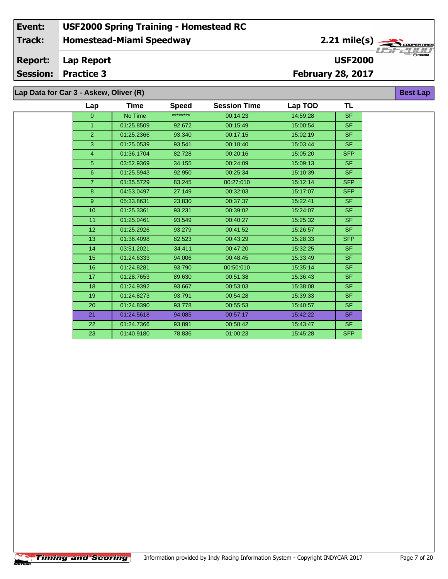**Lap Data for Car 3 - Askew, Oliver (R)**

| Lap            | Time       | <b>Speed</b> | <b>Session Time</b> | Lap TOD  | <b>TL</b>      |
|----------------|------------|--------------|---------------------|----------|----------------|
| $\overline{0}$ | No Time    | ********     | 00:14:23            | 14:59:28 | <b>SF</b>      |
| $\mathbf{1}$   | 01:25.8509 | 92.672       | 00:15:49            | 15:00:54 | SF.            |
| $\overline{2}$ | 01:25.2366 | 93.340       | 00:17:15            | 15:02:19 | SF.            |
| 3              | 01:25.0539 | 93.541       | 00:18:40            | 15:03:44 | SF.            |
| $\overline{4}$ | 01:36.1704 | 82.728       | 00:20:16            | 15:05:20 | <b>SFP</b>     |
| 5              | 03:52.9369 | 34.155       | 00:24:09            | 15:09:13 | <b>SF</b>      |
| 6              | 01:25.5943 | 92.950       | 00:25:34            | 15:10:39 | S <sub>F</sub> |
| $\overline{7}$ | 01:35.5729 | 83.245       | 00:27:010           | 15:12:14 | <b>SFP</b>     |
| 8              | 04:53.0497 | 27.149       | 00:32:03            | 15:17:07 | <b>SFP</b>     |
| 9              | 05:33.8631 | 23.830       | 00:37:37            | 15:22:41 | SF.            |
| 10             | 01:25.3361 | 93.231       | 00:39:02            | 15:24:07 | SF.            |
| 11             | 01:25.0461 | 93.549       | 00:40:27            | 15:25:32 | <b>SF</b>      |
| 12             | 01:25.2926 | 93.279       | 00:41:52            | 15:26:57 | <b>SF</b>      |
| 13             | 01:36.4098 | 82.523       | 00:43:29            | 15:28:33 | <b>SFP</b>     |
| 14             | 03:51.2021 | 34.411       | 00:47:20            | 15:32:25 | <b>SF</b>      |
| 15             | 01:24.6333 | 94.006       | 00:48:45            | 15:33:49 | S <sub>F</sub> |
| 16             | 01:24.8281 | 93.790       | 00:50:010           | 15:35:14 | <b>SF</b>      |
| 17             | 01:28.7653 | 89.630       | 00:51:38            | 15:36:43 | SF.            |
| 18             | 01:24.9392 | 93.667       | 00:53:03            | 15:38:08 | SF.            |
| 19             | 01:24.8273 | 93.791       | 00:54:28            | 15:39:33 | SF.            |
| 20             | 01:24.8390 | 93.778       | 00:55:53            | 15:40:57 | SF.            |
| 21             | 01:24.5618 | 94.085       | 00:57:17            | 15:42:22 | SF.            |
| 22             | 01:24.7366 | 93.891       | 00:58:42            | 15:43:47 | <b>SF</b>      |
| 23             | 01:40.9180 | 78.836       | 01:00:23            | 15:45:28 | <b>SFP</b>     |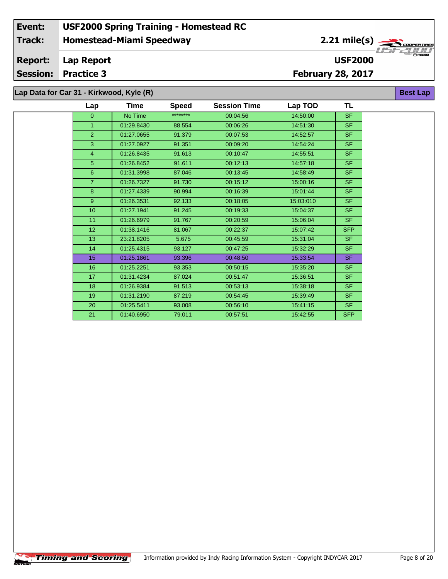# **Lap Data for Car 31 - Kirkwood, Kyle (R)**

| Lap            | Time       | <b>Speed</b> | <b>Session Time</b> | Lap TOD   | <b>TL</b>  |
|----------------|------------|--------------|---------------------|-----------|------------|
| $\overline{0}$ | No Time    | ********     | 00:04:56            | 14:50:00  | <b>SF</b>  |
| $\mathbf{1}$   | 01:29.8430 | 88.554       | 00:06:26            | 14:51:30  | <b>SF</b>  |
| 2              | 01:27.0655 | 91.379       | 00:07:53            | 14:52:57  | <b>SF</b>  |
| 3              | 01:27.0927 | 91.351       | 00:09:20            | 14:54:24  | <b>SF</b>  |
| $\overline{4}$ | 01:26.8435 | 91.613       | 00:10:47            | 14:55:51  | <b>SF</b>  |
| $\sqrt{5}$     | 01:26.8452 | 91.611       | 00:12:13            | 14:57:18  | <b>SF</b>  |
| 6              | 01:31.3998 | 87.046       | 00:13:45            | 14:58:49  | <b>SF</b>  |
| $\overline{7}$ | 01:26.7327 | 91.730       | 00:15:12            | 15:00:16  | <b>SF</b>  |
| 8              | 01:27.4339 | 90.994       | 00:16:39            | 15:01:44  | <b>SF</b>  |
| 9              | 01:26.3531 | 92.133       | 00:18:05            | 15:03:010 | <b>SF</b>  |
| 10             | 01:27.1941 | 91.245       | 00:19:33            | 15:04:37  | <b>SF</b>  |
| 11             | 01:26.6979 | 91.767       | 00:20:59            | 15:06:04  | <b>SF</b>  |
| 12             | 01:38.1416 | 81.067       | 00:22:37            | 15:07:42  | <b>SFP</b> |
| 13             | 23:21.8205 | 5.675        | 00:45:59            | 15:31:04  | <b>SF</b>  |
| 14             | 01:25.4315 | 93.127       | 00:47:25            | 15:32:29  | <b>SF</b>  |
| 15             | 01:25.1861 | 93.396       | 00:48:50            | 15:33:54  | <b>SF</b>  |
| 16             | 01:25.2251 | 93.353       | 00:50:15            | 15:35:20  | <b>SF</b>  |
| 17             | 01:31.4234 | 87.024       | 00:51:47            | 15:36:51  | <b>SF</b>  |
| 18             | 01:26.9384 | 91.513       | 00:53:13            | 15:38:18  | <b>SF</b>  |
| 19             | 01:31.2190 | 87.219       | 00:54:45            | 15:39:49  | <b>SF</b>  |
| 20             | 01:25.5411 | 93.008       | 00:56:10            | 15:41:15  | <b>SF</b>  |
| 21             | 01:40.6950 | 79.011       | 00:57:51            | 15:42:55  | <b>SFP</b> |

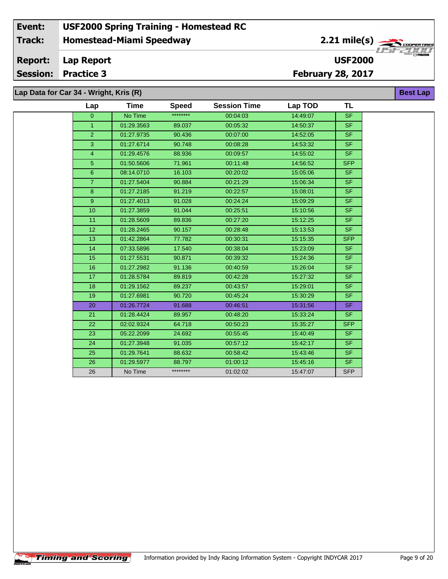# **Lap Data for Car 34 - Wright, Kris (R)**

 $\sqrt{\textbf{T}}$ iming and Scoring $\sqrt{\textbf{S}}$ 

÷.

| Lap            | <b>Time</b> | <b>Speed</b> | <b>Session Time</b> | Lap TOD  | <b>TL</b>                |
|----------------|-------------|--------------|---------------------|----------|--------------------------|
| $\Omega$       | No Time     | ********     | 00:04:03            | 14:49:07 | S <sub>F</sub>           |
| $\mathbf{1}$   | 01:29.3563  | 89.037       | 00:05:32            | 14:50:37 | SF.                      |
| $\overline{2}$ | 01:27.9735  | 90.436       | 00:07:00            | 14:52:05 | <b>SF</b>                |
| 3              | 01:27.6714  | 90.748       | 00:08:28            | 14:53:32 | SF.                      |
| $\overline{4}$ | 01:29.4576  | 88.936       | 00:09:57            | 14:55:02 | $\overline{\mathsf{SF}}$ |
| 5 <sup>5</sup> | 01:50.5606  | 71.961       | 00:11:48            | 14:56:52 | <b>SFP</b>               |
| $6\phantom{1}$ | 08:14.0710  | 16.103       | 00:20:02            | 15:05:06 | SF.                      |
| $\overline{7}$ | 01:27.5404  | 90.884       | 00:21:29            | 15:06:34 | SF.                      |
| 8              | 01:27.2185  | 91.219       | 00:22:57            | 15:08:01 | <b>SF</b>                |
| 9              | 01:27.4013  | 91.028       | 00:24:24            | 15:09:29 | SF.                      |
| 10             | 01:27.3859  | 91.044       | 00:25:51            | 15:10:56 | <b>SF</b>                |
| 11             | 01:28.5609  | 89.836       | 00:27:20            | 15:12:25 | SF.                      |
| 12             | 01:28.2465  | 90.157       | 00:28:48            | 15:13:53 | <b>SF</b>                |
| 13             | 01:42.2864  | 77.782       | 00:30:31            | 15:15:35 | <b>SFP</b>               |
| 14             | 07:33.5896  | 17.540       | 00:38:04            | 15:23:09 | <b>SF</b>                |
| 15             | 01:27.5531  | 90.871       | 00:39:32            | 15:24:36 | SF.                      |
| 16             | 01:27.2982  | 91.136       | 00:40:59            | 15:26:04 | <b>SF</b>                |
| 17             | 01:28.5784  | 89.819       | 00:42:28            | 15:27:32 | <b>SF</b>                |
| 18             | 01:29.1562  | 89.237       | 00:43:57            | 15:29:01 | SF.                      |
| 19             | 01:27.6981  | 90.720       | 00:45:24            | 15:30:29 | <b>SF</b>                |
| 20             | 01:26.7724  | 91.688       | 00:46:51            | 15:31:56 | SF.                      |
| 21             | 01:28.4424  | 89.957       | 00:48:20            | 15:33:24 | <b>SF</b>                |
| 22             | 02:02.9324  | 64.718       | 00:50:23            | 15:35:27 | <b>SFP</b>               |
| 23             | 05:22.2099  | 24.692       | 00:55:45            | 15:40:49 | <b>SF</b>                |
| 24             | 01:27.3948  | 91.035       | 00:57:12            | 15:42:17 | SF.                      |
| 25             | 01:29.7641  | 88.632       | 00:58:42            | 15:43:46 | SF.                      |
| 26             | 01:29.5977  | 88.797       | 01:00:12            | 15:45:16 | SF.                      |
| 26             | No Time     | ********     | 01:02:02            | 15:47:07 | <b>SFP</b>               |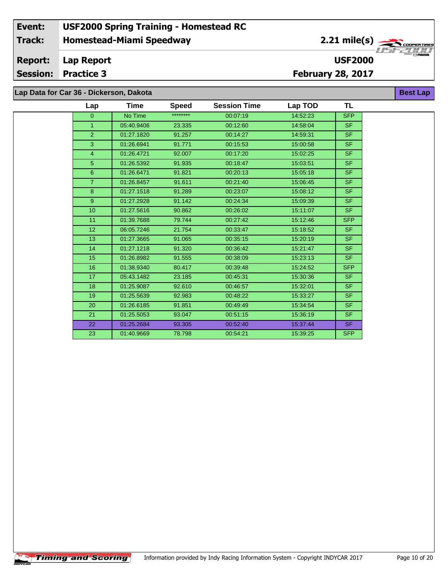**Lap Data for Car 36 - Dickerson, Dakota**

÷.

| Lap              | Time       | <b>Speed</b> | <b>Session Time</b> | Lap TOD  | <b>TL</b>                |
|------------------|------------|--------------|---------------------|----------|--------------------------|
| $\Omega$         | No Time    | ********     | 00:07:19            | 14:52:23 | <b>SFP</b>               |
| $\mathbf{1}$     | 05:40.9406 | 23.335       | 00:12:60            | 14:58:04 | SF.                      |
| $\overline{2}$   | 01:27.1820 | 91.257       | 00:14:27            | 14:59:31 | SF.                      |
| 3                | 01:26.6941 | 91.771       | 00:15:53            | 15:00:58 | SF.                      |
| $\overline{4}$   | 01:26.4721 | 92.007       | 00:17:20            | 15:02:25 | $\overline{\mathsf{SF}}$ |
| 5 <sup>5</sup>   | 01:26.5392 | 91.935       | 00:18:47            | 15:03:51 | SF.                      |
| 6 <sup>°</sup>   | 01:26.6471 | 91.821       | 00:20:13            | 15:05:18 | S <sub>F</sub>           |
| $\overline{7}$   | 01:26.8457 | 91.611       | 00:21:40            | 15:06:45 | SF.                      |
| 8                | 01:27.1518 | 91.289       | 00:23:07            | 15:08:12 | <b>SF</b>                |
| 9 <sup>°</sup>   | 01:27.2928 | 91.142       | 00:24:34            | 15:09:39 | SF.                      |
| 10 <sup>10</sup> | 01:27.5616 | 90.862       | 00:26:02            | 15:11:07 | SF.                      |
| 11               | 01:39.7688 | 79.744       | 00:27:42            | 15:12:46 | <b>SFP</b>               |
| 12 <sub>2</sub>  | 06:05.7246 | 21.754       | 00:33:47            | 15:18:52 | SF.                      |
| 13               | 01:27.3665 | 91.065       | 00:35:15            | 15:20:19 | $\overline{\mathsf{SF}}$ |
| 14               | 01:27.1218 | 91.320       | 00:36:42            | 15:21:47 | SF.                      |
| 15               | 01:26.8982 | 91.555       | 00:38:09            | 15:23:13 | S <sub>F</sub>           |
| 16               | 01:38.9340 | 80.417       | 00:39:48            | 15:24:52 | <b>SFP</b>               |
| 17               | 05:43.1482 | 23.185       | 00:45:31            | 15:30:36 | SF.                      |
| 18               | 01:25.9087 | 92.610       | 00:46:57            | 15:32:01 | SF.                      |
| 19               | 01:25.5639 | 92.983       | 00:48:22            | 15:33:27 | SF.                      |
| 20               | 01:26.6185 | 91.851       | 00:49:49            | 15:34:54 | SF.                      |
| 21               | 01:25.5053 | 93.047       | 00:51:15            | 15:36:19 | SF.                      |
| 22               | 01:25.2684 | 93.305       | 00:52:40            | 15:37:44 | SF.                      |
| 23               | 01:40.9669 | 78.798       | 00:54:21            | 15:39:25 | <b>SFP</b>               |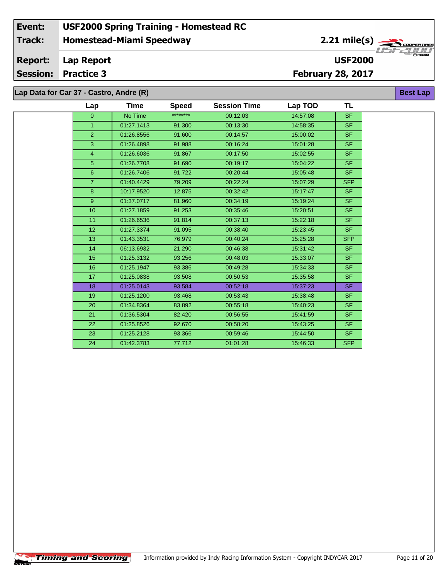#### **Event: USF2000 Spring Training - Homestead RC 2.21 mile(s) Track: Homestead-Miami Speedway** .<br>COOPERTIRE **Report: Lap Report USF2000 Session: Practice 3 February 28, 2017 Lap Data for Car 37 - Castro, Andre (R) Best Lap**

| Lap            | Time       | <b>Speed</b> | <b>Session Time</b> | Lap TOD  | <b>TL</b>  |
|----------------|------------|--------------|---------------------|----------|------------|
| $\overline{0}$ | No Time    | ********     | 00:12:03            | 14:57:08 | <b>SF</b>  |
| $\mathbf{1}$   | 01:27.1413 | 91.300       | 00:13:30            | 14:58:35 | <b>SF</b>  |
| $\overline{2}$ | 01:26.8556 | 91.600       | 00:14:57            | 15:00:02 | SF.        |
| 3              | 01:26.4898 | 91.988       | 00:16:24            | 15:01:28 | <b>SF</b>  |
| 4              | 01:26.6036 | 91.867       | 00:17:50            | 15:02:55 | <b>SF</b>  |
| 5              | 01:26.7708 | 91.690       | 00:19:17            | 15:04:22 | <b>SF</b>  |
| 6              | 01:26.7406 | 91.722       | 00:20:44            | 15:05:48 | SF.        |
| $\overline{7}$ | 01:40.4429 | 79.209       | 00:22:24            | 15:07:29 | <b>SFP</b> |
| $\bf8$         | 10:17.9520 | 12.875       | 00:32:42            | 15:17:47 | <b>SF</b>  |
| 9              | 01:37.0717 | 81.960       | 00:34:19            | 15:19:24 | <b>SF</b>  |
| 10             | 01:27.1859 | 91.253       | 00:35:46            | 15:20:51 | <b>SF</b>  |
| 11             | 01:26.6536 | 91.814       | 00:37:13            | 15:22:18 | SF.        |
| 12             | 01:27.3374 | 91.095       | 00:38:40            | 15:23:45 | <b>SF</b>  |
| 13             | 01:43.3531 | 76.979       | 00:40:24            | 15:25:28 | <b>SFP</b> |
| 14             | 06:13.6932 | 21.290       | 00:46:38            | 15:31:42 | <b>SF</b>  |
| 15             | 01:25.3132 | 93.256       | 00:48:03            | 15:33:07 | SF.        |
| 16             | 01:25.1947 | 93.386       | 00:49:28            | 15:34:33 | <b>SF</b>  |
| 17             | 01:25.0838 | 93.508       | 00:50:53            | 15:35:58 | <b>SF</b>  |
| 18             | 01:25.0143 | 93.584       | 00:52:18            | 15:37:23 | SF.        |
| 19             | 01:25.1200 | 93.468       | 00:53:43            | 15:38:48 | <b>SF</b>  |
| 20             | 01:34.8364 | 83.892       | 00:55:18            | 15:40:23 | SF.        |
| 21             | 01:36.5304 | 82.420       | 00:56:55            | 15:41:59 | <b>SF</b>  |
| 22             | 01:25.8526 | 92.670       | 00:58:20            | 15:43:25 | <b>SF</b>  |
| 23             | 01:25.2128 | 93.366       | 00:59:46            | 15:44:50 | <b>SF</b>  |
| 24             | 01:42.3783 | 77.712       | 01:01:28            | 15:46:33 | <b>SFP</b> |

**Timing and Scoring**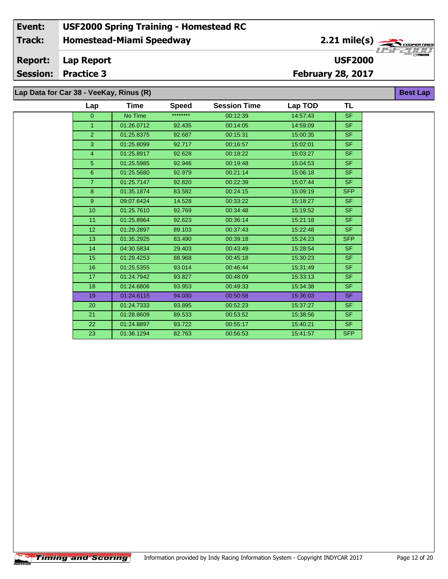**Lap Data for Car 38 - VeeKay, Rinus (R)**

 $\overline{\phantom{a}}$ 

| Lap              | Time       | <b>Speed</b> | <b>Session Time</b> | Lap TOD  | TL         |  |
|------------------|------------|--------------|---------------------|----------|------------|--|
| $\mathbf{0}$     | No Time    | ********     | 00:12:39            | 14:57:43 | <b>SF</b>  |  |
| $\mathbf{1}$     | 01:26.0712 | 92.435       | 00:14:05            | 14:59:09 | SF.        |  |
| $\overline{2}$   | 01:25.8375 | 92.687       | 00:15:31            | 15:00:35 | <b>SF</b>  |  |
| 3                | 01:25.8099 | 92.717       | 00:16:57            | 15:02:01 | <b>SF</b>  |  |
| $\overline{4}$   | 01:25.8917 | 92.628       | 00:18:22            | 15:03:27 | <b>SF</b>  |  |
| 5                | 01:25.5985 | 92.946       | 00:19:48            | 15:04:53 | <b>SF</b>  |  |
| $\boldsymbol{6}$ | 01:25.5680 | 92.979       | 00:21:14            | 15:06:18 | <b>SF</b>  |  |
| $\overline{7}$   | 01:25.7147 | 92.820       | 00:22:39            | 15:07:44 | SF.        |  |
| 8                | 01:35.1874 | 83.582       | 00:24:15            | 15:09:19 | <b>SFP</b> |  |
| 9                | 09:07.6424 | 14.528       | 00:33:22            | 15:18:27 | SF.        |  |
| 10 <sup>10</sup> | 01:25.7610 | 92.769       | 00:34:48            | 15:19:52 | SF.        |  |
| 11               | 01:25.8964 | 92.623       | 00:36:14            | 15:21:18 | <b>SF</b>  |  |
| 12               | 01:29.2897 | 89.103       | 00:37:43            | 15:22:48 | SF.        |  |
| 13               | 01:35.2925 | 83.490       | 00:39:18            | 15:24:23 | <b>SFP</b> |  |
| 14               | 04:30.5834 | 29.403       | 00:43:49            | 15:28:54 | <b>SF</b>  |  |
| 15               | 01:29.4253 | 88.968       | 00:45:18            | 15:30:23 | <b>SF</b>  |  |
| 16               | 01:25.5355 | 93.014       | 00:46:44            | 15:31:49 | SF.        |  |
| 17               | 01:24.7942 | 93.827       | 00:48:09            | 15:33:13 | SF.        |  |
| 18               | 01:24.6806 | 93.953       | 00:49:33            | 15:34:38 | <b>SF</b>  |  |
| 19               | 01:24.6115 | 94.030       | 00:50:58            | 15:36:03 | SF.        |  |
| 20               | 01:24.7333 | 93.895       | 00:52:23            | 15:37:27 | SF.        |  |
| 21               | 01:28.8609 | 89.533       | 00:53:52            | 15:38:56 | SF.        |  |
| 22               | 01:24.8897 | 93.722       | 00:55:17            | 15:40:21 | SF.        |  |
| 23               | 01:36.1294 | 82.763       | 00:56:53            | 15:41:57 | <b>SFP</b> |  |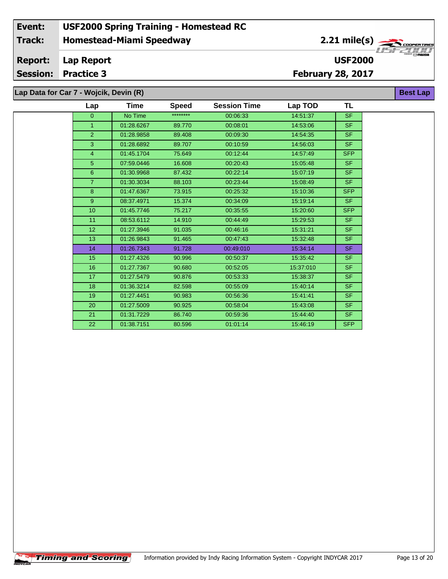# **Lap Data for Car 7 - Wojcik, Devin (R)**

 $\overline{\phantom{a}}$ 

| Lap              | Time       | <b>Speed</b> | <b>Session Time</b> | Lap TOD   | <b>TL</b>  |
|------------------|------------|--------------|---------------------|-----------|------------|
| $\overline{0}$   | No Time    | ********     | 00:06:33            | 14:51:37  | <b>SF</b>  |
| 1                | 01:28.6267 | 89.770       | 00:08:01            | 14:53:06  | <b>SF</b>  |
| $\overline{2}$   | 01:28.9858 | 89.408       | 00:09:30            | 14:54:35  | <b>SF</b>  |
| 3                | 01:28.6892 | 89.707       | 00:10:59            | 14:56:03  | <b>SF</b>  |
| 4                | 01:45.1704 | 75.649       | 00:12:44            | 14:57:49  | <b>SFP</b> |
| 5                | 07:59.0446 | 16.608       | 00:20:43            | 15:05:48  | <b>SF</b>  |
| 6                | 01:30.9968 | 87.432       | 00:22:14            | 15:07:19  | <b>SF</b>  |
| $\overline{7}$   | 01:30.3034 | 88.103       | 00:23:44            | 15:08:49  | <b>SF</b>  |
| 8                | 01:47.6367 | 73.915       | 00:25:32            | 15:10:36  | <b>SFP</b> |
| 9                | 08:37.4971 | 15.374       | 00:34:09            | 15:19:14  | <b>SF</b>  |
| 10 <sup>10</sup> | 01:45.7746 | 75.217       | 00:35:55            | 15:20:60  | <b>SFP</b> |
| 11               | 08:53.6112 | 14.910       | 00:44:49            | 15:29:53  | <b>SF</b>  |
| 12               | 01:27.3946 | 91.035       | 00:46:16            | 15:31:21  | <b>SF</b>  |
| 13               | 01:26.9843 | 91.465       | 00:47:43            | 15:32:48  | <b>SF</b>  |
| 14               | 01:26.7343 | 91.728       | 00:49:010           | 15:34:14  | <b>SF</b>  |
| 15               | 01:27.4326 | 90.996       | 00:50:37            | 15:35:42  | <b>SF</b>  |
| 16               | 01:27.7367 | 90.680       | 00:52:05            | 15:37:010 | <b>SF</b>  |
| 17               | 01:27.5479 | 90.876       | 00:53:33            | 15:38:37  | <b>SF</b>  |
| 18               | 01:36.3214 | 82.598       | 00:55:09            | 15:40:14  | <b>SF</b>  |
| 19               | 01:27.4451 | 90.983       | 00:56:36            | 15:41:41  | <b>SF</b>  |
| 20               | 01:27.5009 | 90.925       | 00:58:04            | 15:43:08  | <b>SF</b>  |
| 21               | 01:31.7229 | 86.740       | 00:59:36            | 15:44:40  | <b>SF</b>  |
| 22               | 01:38.7151 | 80.596       | 01:01:14            | 15:46:19  | <b>SFP</b> |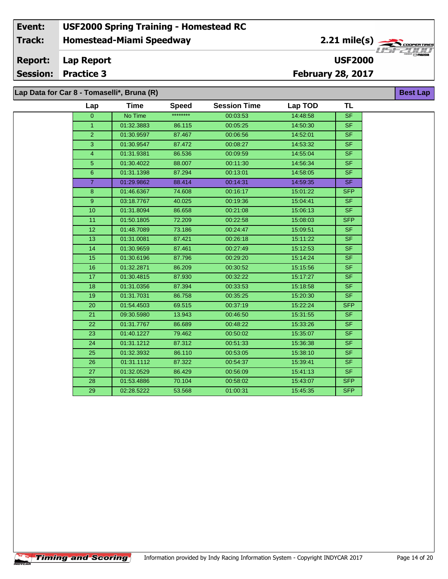#### **Event: USF2000 Spring Training - Homestead RC 2.21 mile(s) Track: Homestead-Miami Speedway** COOPERTIRE **Report: Lap Report USF2000 Session: Practice 3 February 28, 2017**

**Lap Data for Car 8 - Tomaselli\*, Bruna (R)**

**Timing and Scoring** 

÷.

| Lap            | <b>Time</b> | <b>Speed</b> | <b>Session Time</b> | Lap TOD  | TL             |
|----------------|-------------|--------------|---------------------|----------|----------------|
| $\Omega$       | No Time     | ********     | 00:03:53            | 14:48:58 | <b>SF</b>      |
| $\mathbf{1}$   | 01:32.3883  | 86.115       | 00:05:25            | 14:50:30 | <b>SF</b>      |
| $\overline{2}$ | 01:30.9597  | 87.467       | 00:06:56            | 14:52:01 | SF.            |
| 3              | 01:30.9547  | 87.472       | 00:08:27            | 14:53:32 | <b>SF</b>      |
| $\overline{4}$ | 01:31.9381  | 86.536       | 00:09:59            | 14:55:04 | SF             |
| $\overline{5}$ | 01:30.4022  | 88.007       | 00:11:30            | 14:56:34 | <b>SF</b>      |
| 6              | 01:31.1398  | 87.294       | 00:13:01            | 14:58:05 | S <sub>F</sub> |
| $\overline{7}$ | 01:29.9862  | 88.414       | 00:14:31            | 14:59:35 | <b>SF</b>      |
| 8              | 01:46.6367  | 74.608       | 00:16:17            | 15:01:22 | <b>SFP</b>     |
| 9              | 03:18.7767  | 40.025       | 00:19:36            | 15:04:41 | SF             |
| 10             | 01:31.8094  | 86.658       | 00:21:08            | 15:06:13 | SF.            |
| 11             | 01:50.1805  | 72.209       | 00:22:58            | 15:08:03 | <b>SFP</b>     |
| 12             | 01:48.7089  | 73.186       | 00:24:47            | 15:09:51 | <b>SF</b>      |
| 13             | 01:31.0081  | 87.421       | 00:26:18            | 15:11:22 | <b>SF</b>      |
| 14             | 01:30.9659  | 87.461       | 00:27:49            | 15:12:53 | SF             |
| 15             | 01:30.6196  | 87.796       | 00:29:20            | 15:14:24 | <b>SF</b>      |
| 16             | 01:32.2871  | 86.209       | 00:30:52            | 15:15:56 | <b>SF</b>      |
| 17             | 01:30.4815  | 87.930       | 00:32:22            | 15:17:27 | <b>SF</b>      |
| 18             | 01:31.0356  | 87.394       | 00:33:53            | 15:18:58 | SF             |
| 19             | 01:31.7031  | 86.758       | 00:35:25            | 15:20:30 | <b>SF</b>      |
| 20             | 01:54.4503  | 69.515       | 00:37:19            | 15:22:24 | <b>SFP</b>     |
| 21             | 09:30.5980  | 13.943       | 00:46:50            | 15:31:55 | SF.            |
| 22             | 01:31.7767  | 86.689       | 00:48:22            | 15:33:26 | <b>SF</b>      |
| 23             | 01:40.1227  | 79.462       | 00:50:02            | 15:35:07 | SF             |
| 24             | 01:31.1212  | 87.312       | 00:51:33            | 15:36:38 | SF.            |
| 25             | 01:32.3932  | 86.110       | 00:53:05            | 15:38:10 | SF             |
| 26             | 01:31.1112  | 87.322       | 00:54:37            | 15:39:41 | <b>SF</b>      |
| 27             | 01:32.0529  | 86.429       | 00:56:09            | 15:41:13 | <b>SF</b>      |
| 28             | 01:53.4886  | 70.104       | 00:58:02            | 15:43:07 | <b>SFP</b>     |
| 29             | 02:28.5222  | 53.568       | 01:00:31            | 15:45:35 | <b>SFP</b>     |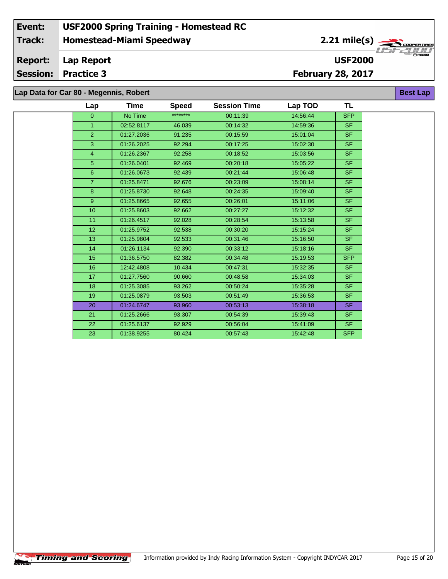# **Lap Data for Car 80 - Megennis, Robert**

÷.

| Lap             | Time       | <b>Speed</b> | <b>Session Time</b> | Lap TOD  | <b>TL</b>  |
|-----------------|------------|--------------|---------------------|----------|------------|
| $\overline{0}$  | No Time    | ********     | 00:11:39            | 14:56:44 | <b>SFP</b> |
| $\mathbf{1}$    | 02:52.8117 | 46.039       | 00:14:32            | 14:59:36 | SF.        |
| 2 <sup>1</sup>  | 01:27.2036 | 91.235       | 00:15:59            | 15:01:04 | SF.        |
| 3               | 01:26.2025 | 92.294       | 00:17:25            | 15:02:30 | SF.        |
| $\overline{4}$  | 01:26.2367 | 92.258       | 00:18:52            | 15:03:56 | SF.        |
| 5 <sup>5</sup>  | 01:26.0401 | 92.469       | 00:20:18            | 15:05:22 | SF.        |
| 6 <sup>°</sup>  | 01:26.0673 | 92.439       | 00:21:44            | 15:06:48 | <b>SF</b>  |
| 7 <sup>1</sup>  | 01:25.8471 | 92.676       | 00:23:09            | 15:08:14 | SF.        |
| 8               | 01:25.8730 | 92.648       | 00:24:35            | 15:09:40 | SF.        |
| 9 <sup>°</sup>  | 01:25.8665 | 92.655       | 00:26:01            | 15:11:06 | SF.        |
| 10 <sup>°</sup> | 01:25.8603 | 92.662       | 00:27:27            | 15:12:32 | <b>SF</b>  |
| 11              | 01:26.4517 | 92.028       | 00:28:54            | 15:13:58 | SF.        |
| 12 <sup>2</sup> | 01:25.9752 | 92.538       | 00:30:20            | 15:15:24 | <b>SF</b>  |
| 13              | 01:25.9804 | 92.533       | 00:31:46            | 15:16:50 | SF.        |
| 14              | 01:26.1134 | 92.390       | 00:33:12            | 15:18:16 | SF.        |
| 15              | 01:36.5750 | 82.382       | 00:34:48            | 15:19:53 | <b>SFP</b> |
| 16              | 12:42.4808 | 10.434       | 00:47:31            | 15:32:35 | SF.        |
| 17              | 01:27.7560 | 90.660       | 00:48:58            | 15:34:03 | SF.        |
| 18              | 01:25.3085 | 93.262       | 00:50:24            | 15:35:28 | SF.        |
| 19              | 01:25.0879 | 93.503       | 00:51:49            | 15:36:53 | SF.        |
| 20              | 01:24.6747 | 93.960       | 00:53:13            | 15:38:18 | SF.        |
| 21              | 01:25.2666 | 93.307       | 00:54:39            | 15:39:43 | <b>SF</b>  |
| 22              | 01:25.6137 | 92.929       | 00:56:04            | 15:41:09 | SF.        |
| 23              | 01:38.9255 | 80.424       | 00:57:43            | 15:42:48 | <b>SFP</b> |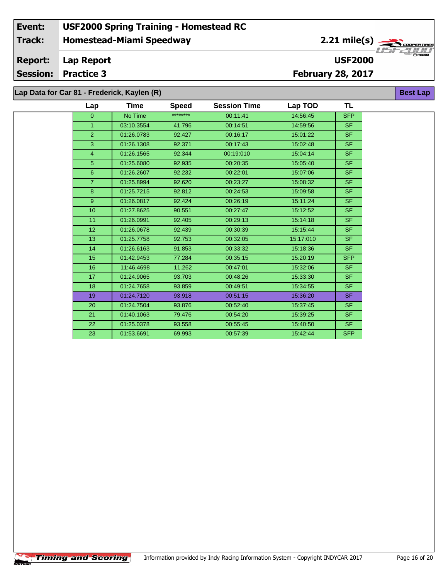**Lap Data for Car 81 - Frederick, Kaylen (R)**

 $\overline{\phantom{a}}$ 

| for Car 81 - Frederick, Kaylen (R)<br><b>Best Lap</b> |             |              |                     |           |                |  |  |
|-------------------------------------------------------|-------------|--------------|---------------------|-----------|----------------|--|--|
| Lap                                                   | <b>Time</b> | <b>Speed</b> | <b>Session Time</b> | Lap TOD   | TL             |  |  |
| $\overline{0}$                                        | No Time     | ********     | 00:11:41            | 14:56:45  | <b>SFP</b>     |  |  |
| $\mathbf{1}$                                          | 03:10.3554  | 41.796       | 00:14:51            | 14:59:56  | <b>SF</b>      |  |  |
| $\overline{2}$                                        | 01:26.0783  | 92.427       | 00:16:17            | 15:01:22  | S <sub>F</sub> |  |  |
| 3                                                     | 01:26.1308  | 92.371       | 00:17:43            | 15:02:48  | <b>SF</b>      |  |  |
| $\overline{4}$                                        | 01:26.1565  | 92.344       | 00:19:010           | 15:04:14  | SF.            |  |  |
| 5                                                     | 01:25.6080  | 92.935       | 00:20:35            | 15:05:40  | <b>SF</b>      |  |  |
| 6                                                     | 01:26.2607  | 92.232       | 00:22:01            | 15:07:06  | <b>SF</b>      |  |  |
| $\overline{7}$                                        | 01:25.8994  | 92.620       | 00:23:27            | 15:08:32  | <b>SF</b>      |  |  |
| 8                                                     | 01:25.7215  | 92.812       | 00:24:53            | 15:09:58  | SF.            |  |  |
| 9 <sup>°</sup>                                        | 01:26.0817  | 92.424       | 00:26:19            | 15:11:24  | <b>SF</b>      |  |  |
| 10                                                    | 01:27.8625  | 90.551       | 00:27:47            | 15:12:52  | <b>SF</b>      |  |  |
| 11                                                    | 01:26.0991  | 92.405       | 00:29:13            | 15:14:18  | <b>SF</b>      |  |  |
| 12                                                    | 01:26.0678  | 92.439       | 00:30:39            | 15:15:44  | SF.            |  |  |
| 13                                                    | 01:25.7758  | 92.753       | 00:32:05            | 15:17:010 | SF.            |  |  |
| 14                                                    | 01:26.6163  | 91.853       | 00:33:32            | 15:18:36  | <b>SF</b>      |  |  |
| 15                                                    | 01:42.9453  | 77.284       | 00:35:15            | 15:20:19  | <b>SFP</b>     |  |  |
| 16                                                    | 11:46.4698  | 11.262       | 00:47:01            | 15:32:06  | <b>SF</b>      |  |  |
| 17                                                    | 01:24.9065  | 93.703       | 00:48:26            | 15:33:30  | <b>SF</b>      |  |  |
| 18                                                    | 01:24.7658  | 93.859       | 00:49:51            | 15:34:55  | SF.            |  |  |
| 19                                                    | 01:24.7120  | 93.918       | 00:51:15            | 15:36:20  | SF.            |  |  |
| 20                                                    | 01:24.7504  | 93.876       | 00:52:40            | 15:37:45  | <b>SF</b>      |  |  |
| 21                                                    | 01:40.1063  | 79.476       | 00:54:20            | 15:39:25  | <b>SF</b>      |  |  |
| 22                                                    | 01:25.0378  | 93.558       | 00:55:45            | 15:40:50  | SF.            |  |  |
| 23                                                    | 01:53.6691  | 69.993       | 00:57:39            | 15:42:44  | <b>SFP</b>     |  |  |
|                                                       |             |              |                     |           |                |  |  |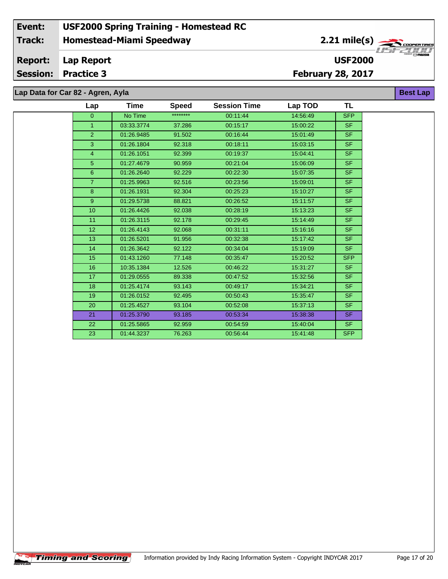# **Lap Data for Car 82 - Agren, Ayla**

÷.

| Lap             | Time       | <b>Speed</b> | <b>Session Time</b> | Lap TOD  | TL         |
|-----------------|------------|--------------|---------------------|----------|------------|
| $\overline{0}$  | No Time    | ********     | 00:11:44            | 14:56:49 | <b>SFP</b> |
| $\mathbf{1}$    | 03:33.3774 | 37.286       | 00:15:17            | 15:00:22 | SF.        |
| $\overline{2}$  | 01:26.9485 | 91.502       | 00:16:44            | 15:01:49 | <b>SF</b>  |
| 3               | 01:26.1804 | 92.318       | 00:18:11            | 15:03:15 | SF.        |
| $\overline{4}$  | 01:26.1051 | 92.399       | 00:19:37            | 15:04:41 | <b>SF</b>  |
| 5 <sup>5</sup>  | 01:27.4679 | 90.959       | 00:21:04            | 15:06:09 | SF.        |
| 6               | 01:26.2640 | 92.229       | 00:22:30            | 15:07:35 | SF.        |
| $\overline{7}$  | 01:25.9963 | 92.516       | 00:23:56            | 15:09:01 | SF.        |
| 8               | 01:26.1931 | 92.304       | 00:25:23            | 15:10:27 | <b>SF</b>  |
| 9               | 01:29.5738 | 88.821       | 00:26:52            | 15:11:57 | SF.        |
| 10 <sup>°</sup> | 01:26.4426 | 92.038       | 00:28:19            | 15:13:23 | SF.        |
| 11              | 01:26.3115 | 92.178       | 00:29:45            | 15:14:49 | SF.        |
| 12 <sub>2</sub> | 01:26.4143 | 92.068       | 00:31:11            | 15:16:16 | SF.        |
| 13              | 01:26.5201 | 91.956       | 00:32:38            | 15:17:42 | SF.        |
| 14              | 01:26.3642 | 92.122       | 00:34:04            | 15:19:09 | SF.        |
| 15              | 01:43.1260 | 77.148       | 00:35:47            | 15:20:52 | <b>SFP</b> |
| 16              | 10:35.1384 | 12.526       | 00:46:22            | 15:31:27 | SF.        |
| 17              | 01:29.0555 | 89.338       | 00:47:52            | 15:32:56 | SF.        |
| 18              | 01:25.4174 | 93.143       | 00:49:17            | 15:34:21 | SF.        |
| 19              | 01:26.0152 | 92.495       | 00:50:43            | 15:35:47 | SF.        |
| 20              | 01:25.4527 | 93.104       | 00:52:08            | 15:37:13 | SF.        |
| 21              | 01:25.3790 | 93.185       | 00:53:34            | 15:38:38 | SF.        |
| 22              | 01:25.5865 | 92.959       | 00:54:59            | 15:40:04 | SF.        |
| 23              | 01:44.3237 | 76.263       | 00:56:44            | 15:41:48 | <b>SFP</b> |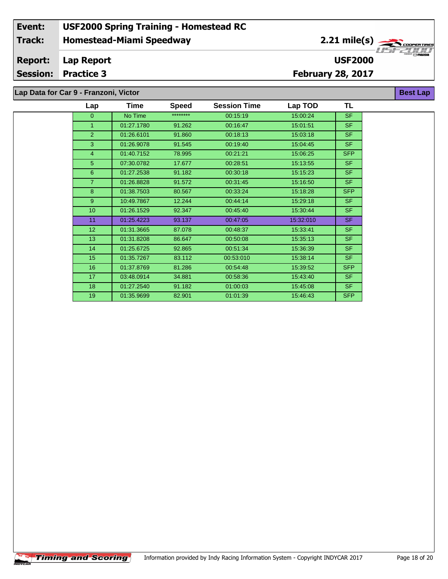## **Lap Data for Car 9 - Franzoni, Victor**

 $\overline{\phantom{a}}$ 

| Lap            | Time       | <b>Speed</b> | <b>Session Time</b> | Lap TOD   | TL         |  |
|----------------|------------|--------------|---------------------|-----------|------------|--|
| $\overline{0}$ | No Time    | ********     | 00:15:19            | 15:00:24  | <b>SF</b>  |  |
| $\mathbf{1}$   | 01:27.1780 | 91.262       | 00:16:47            | 15:01:51  | <b>SF</b>  |  |
| $\overline{2}$ | 01:26.6101 | 91.860       | 00:18:13            | 15:03:18  | <b>SF</b>  |  |
| 3              | 01:26.9078 | 91.545       | 00:19:40            | 15:04:45  | <b>SF</b>  |  |
| $\overline{4}$ | 01:40.7152 | 78.995       | 00:21:21            | 15:06:25  | <b>SFP</b> |  |
| 5              | 07:30.0782 | 17.677       | 00:28:51            | 15:13:55  | <b>SF</b>  |  |
| 6              | 01:27.2538 | 91.182       | 00:30:18            | 15:15:23  | <b>SF</b>  |  |
| $\overline{7}$ | 01:26.8828 | 91.572       | 00:31:45            | 15:16:50  | <b>SF</b>  |  |
| 8              | 01:38.7503 | 80.567       | 00:33:24            | 15:18:28  | <b>SFP</b> |  |
| $9^{\circ}$    | 10:49.7867 | 12.244       | 00:44:14            | 15:29:18  | <b>SF</b>  |  |
| 10             | 01:26.1529 | 92.347       | 00:45:40            | 15:30:44  | <b>SF</b>  |  |
| 11             | 01:25.4223 | 93.137       | 00:47:05            | 15:32:010 | <b>SF</b>  |  |
| 12             | 01:31.3665 | 87.078       | 00:48:37            | 15:33:41  | <b>SF</b>  |  |
| 13             | 01:31.8208 | 86.647       | 00:50:08            | 15:35:13  | <b>SF</b>  |  |
| 14             | 01:25.6725 | 92.865       | 00:51:34            | 15:36:39  | <b>SF</b>  |  |
| 15             | 01:35.7267 | 83.112       | 00:53:010           | 15:38:14  | <b>SF</b>  |  |
| 16             | 01:37.8769 | 81.286       | 00:54:48            | 15:39:52  | <b>SFP</b> |  |
| 17             | 03:48.0914 | 34.881       | 00:58:36            | 15:43:40  | <b>SF</b>  |  |
| 18             | 01:27.2540 | 91.182       | 01:00:03            | 15:45:08  | <b>SF</b>  |  |
| 19             | 01:35.9699 | 82.901       | 01:01:39            | 15:46:43  | <b>SFP</b> |  |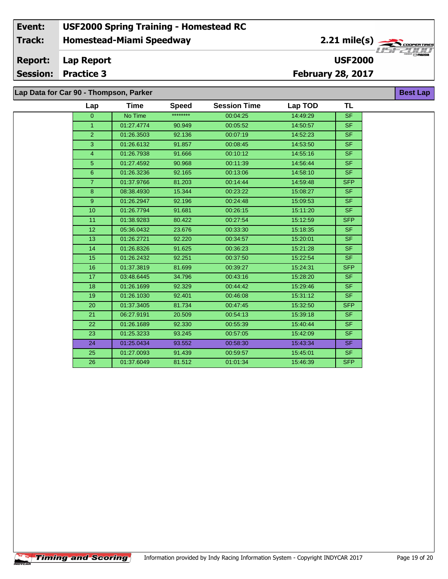**Lap Data for Car 90 - Thompson, Parker**

 $\sqrt{\textbf{T}}$ iming and Scoring $\sqrt{\textbf{S}}$ 

÷.

| Lap             | Time       | <b>Speed</b> | <b>Session Time</b> | Lap TOD  | TL         |
|-----------------|------------|--------------|---------------------|----------|------------|
| $\mathbf{0}$    | No Time    | ********     | 00:04:25            | 14:49:29 | <b>SF</b>  |
| $\mathbf{1}$    | 01:27.4774 | 90.949       | 00:05:52            | 14:50:57 | <b>SF</b>  |
| $\overline{2}$  | 01:26.3503 | 92.136       | 00:07:19            | 14:52:23 | SF.        |
| 3               | 01:26.6132 | 91.857       | 00:08:45            | 14:53:50 | <b>SF</b>  |
| $\overline{4}$  | 01:26.7938 | 91.666       | 00:10:12            | 14:55:16 | SF.        |
| 5 <sub>5</sub>  | 01:27.4592 | 90.968       | 00:11:39            | 14:56:44 | <b>SF</b>  |
| 6               | 01:26.3236 | 92.165       | 00:13:06            | 14:58:10 | <b>SF</b>  |
| $\overline{7}$  | 01:37.9766 | 81.203       | 00:14:44            | 14:59:48 | <b>SFP</b> |
| 8               | 08:38.4930 | 15.344       | 00:23:22            | 15:08:27 | <b>SF</b>  |
| 9               | 01:26.2947 | 92.196       | 00:24:48            | 15:09:53 | <b>SF</b>  |
| 10              | 01:26.7794 | 91.681       | 00:26:15            | 15:11:20 | <b>SF</b>  |
| 11              | 01:38.9283 | 80.422       | 00:27:54            | 15:12:59 | <b>SFP</b> |
| 12 <sub>2</sub> | 05:36.0432 | 23.676       | 00:33:30            | 15:18:35 | SF.        |
| 13              | 01:26.2721 | 92.220       | 00:34:57            | 15:20:01 | <b>SF</b>  |
| 14              | 01:26.8326 | 91.625       | 00:36:23            | 15:21:28 | SF.        |
| 15              | 01:26.2432 | 92.251       | 00:37:50            | 15:22:54 | <b>SF</b>  |
| 16              | 01:37.3819 | 81.699       | 00:39:27            | 15:24:31 | <b>SFP</b> |
| 17              | 03:48.6445 | 34.796       | 00:43:16            | 15:28:20 | SF.        |
| 18              | 01:26.1699 | 92.329       | 00:44:42            | 15:29:46 | <b>SF</b>  |
| 19              | 01:26.1030 | 92.401       | 00:46:08            | 15:31:12 | <b>SF</b>  |
| 20              | 01:37.3405 | 81.734       | 00:47:45            | 15:32:50 | <b>SFP</b> |
| 21              | 06:27.9191 | 20.509       | 00:54:13            | 15:39:18 | <b>SF</b>  |
| 22              | 01:26.1689 | 92.330       | 00:55:39            | 15:40:44 | SF.        |
| 23              | 01:25.3233 | 93.245       | 00:57:05            | 15:42:09 | SF.        |
| 24              | 01:25.0434 | 93.552       | 00:58:30            | 15:43:34 | <b>SF</b>  |
| 25              | 01:27.0093 | 91.439       | 00:59:57            | 15:45:01 | <b>SF</b>  |
| 26              | 01:37.6049 | 81.512       | 01:01:34            | 15:46:39 | <b>SFP</b> |